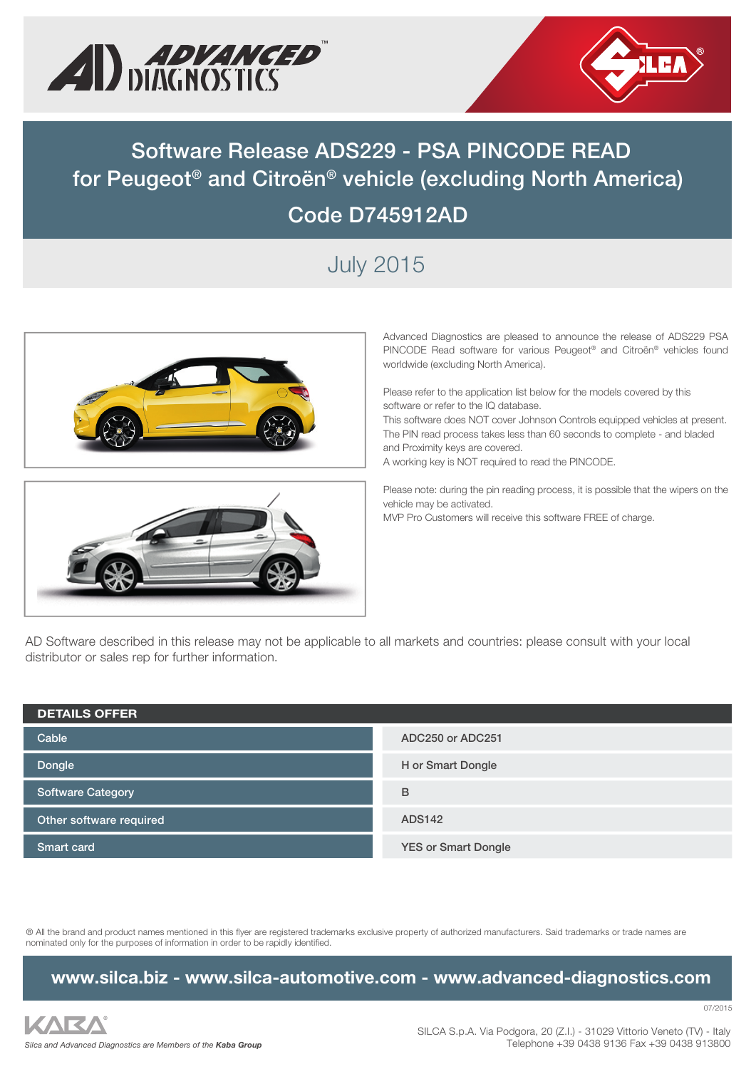



# **Software Release ADS229 - PSA PINCODE READ for Peugeot® and Citroën® vehicle (excluding North America) Code D745912AD**

## July 2015





Advanced Diagnostics are pleased to announce the release of ADS229 PSA PINCODE Read software for various Peugeot® and Citroën® vehicles found worldwide (excluding North America).

Please refer to the application list below for the models covered by this software or refer to the IQ database.

This software does NOT cover Johnson Controls equipped vehicles at present. The PIN read process takes less than 60 seconds to complete - and bladed and Proximity keys are covered.

A working key is NOT required to read the PINCODE.

Please note: during the pin reading process, it is possible that the wipers on the vehicle may be activated.

MVP Pro Customers will receive this software FREE of charge.

AD Software described in this release may not be applicable to all markets and countries: please consult with your local distributor or sales rep for further information.

| <b>DETAILS OFFER</b>    |                            |  |  |  |
|-------------------------|----------------------------|--|--|--|
| Cable                   | ADC250 or ADC251           |  |  |  |
| Dongle                  | H or Smart Dongle          |  |  |  |
| Software Category       | B                          |  |  |  |
| Other software required | <b>ADS142</b>              |  |  |  |
| <b>Smart card</b>       | <b>YES or Smart Dongle</b> |  |  |  |

® All the brand and product names mentioned in this flyer are registered trademarks exclusive property of authorized manufacturers. Said trademarks or trade names are nominated only for the purposes of information in order to be rapidly identified.

#### **www.silca.biz - www.silca-automotive.com - www.advanced-diagnostics.com**

07/2015